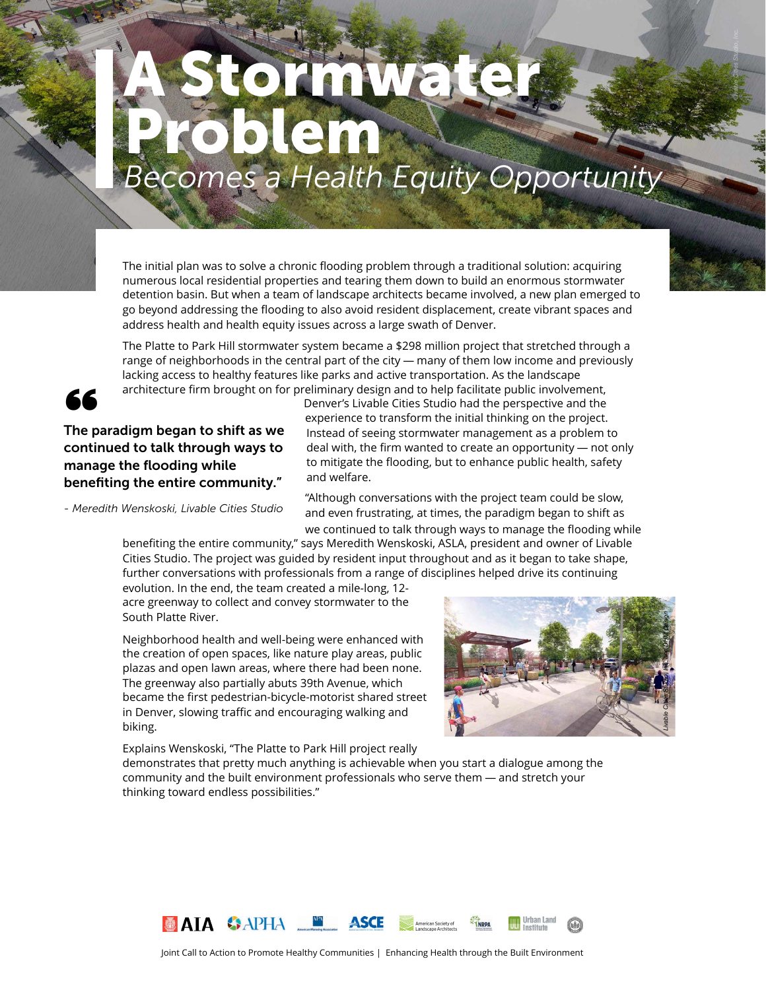# *Becomes a Health Equity Opportunity* a Franke Problem

The initial plan was to solve a chronic flooding problem through a traditional solution: acquiring numerous local residential properties and tearing them down to build an enormous stormwater detention basin. But when a team of landscape architects became involved, a new plan emerged to go beyond addressing the flooding to also avoid resident displacement, create vibrant spaces and address health and health equity issues across a large swath of Denver.

The Platte to Park Hill stormwater system became a \$298 million project that stretched through a range of neighborhoods in the central part of the city — many of them low income and previously lacking access to healthy features like parks and active transportation. As the landscape architecture firm brought on for preliminary design and to help facilitate public involvement,



#### The paradigm began to shift as we continued to talk through ways to manage the flooding while benefiting the entire community."

*- Meredith Wenskoski, Livable Cities Studio*

Denver's Livable Cities Studio had the perspective and the experience to transform the initial thinking on the project. Instead of seeing stormwater management as a problem to deal with, the firm wanted to create an opportunity — not only to mitigate the flooding, but to enhance public health, safety and welfare.

"Although conversations with the project team could be slow, and even frustrating, at times, the paradigm began to shift as we continued to talk through ways to manage the flooding while

benefiting the entire community," says Meredith Wenskoski, ASLA, president and owner of Livable Cities Studio. The project was guided by resident input throughout and as it began to take shape, further conversations with professionals from a range of disciplines helped drive its continuing

evolution. In the end, the team created a mile-long, 12 acre greenway to collect and convey stormwater to the South Platte River.

Neighborhood health and well-being were enhanced with the creation of open spaces, like nature play areas, public plazas and open lawn areas, where there had been none. The greenway also partially abuts 39th Avenue, which became the first pedestrian-bicycle-motorist shared street in Denver, slowing traffic and encouraging walking and biking.

Explains Wenskoski, "The Platte to Park Hill project really



*Livable Cities Studio, Inc.*

demonstrates that pretty much anything is achievable when you start a dialogue among the community and the built environment professionals who serve them — and stretch your thinking toward endless possibilities."